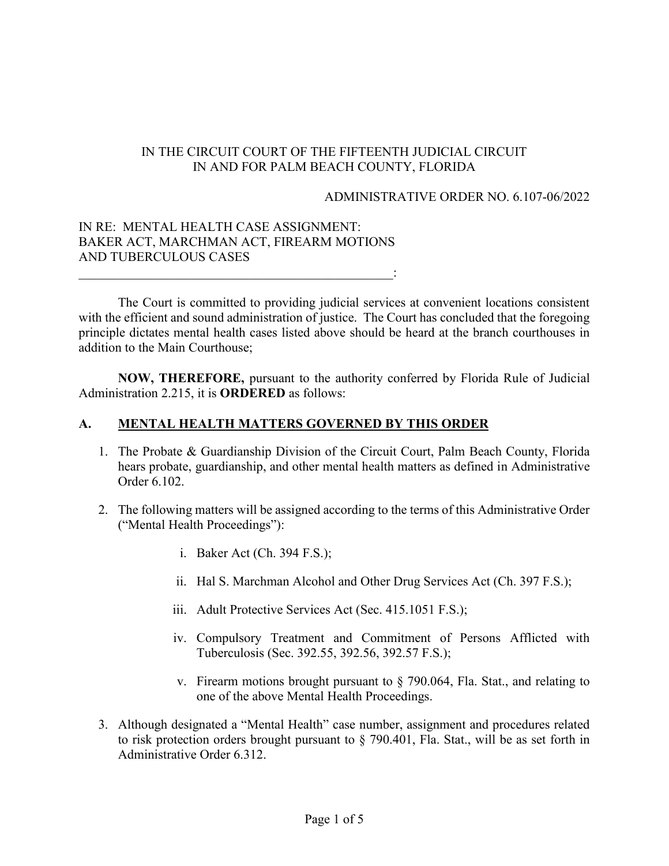# IN THE CIRCUIT COURT OF THE FIFTEENTH JUDICIAL CIRCUIT IN AND FOR PALM BEACH COUNTY, FLORIDA

#### ADMINISTRATIVE ORDER NO. 6.107-06/2022

## IN RE: MENTAL HEALTH CASE ASSIGNMENT: BAKER ACT, MARCHMAN ACT, FIREARM MOTIONS AND TUBERCULOUS CASES

 $\mathcal{L}_\text{max} = \frac{1}{2} \sum_{i=1}^{n} \frac{1}{2} \sum_{i=1}^{n} \frac{1}{2} \sum_{i=1}^{n} \frac{1}{2} \sum_{i=1}^{n} \frac{1}{2} \sum_{i=1}^{n} \frac{1}{2} \sum_{i=1}^{n} \frac{1}{2} \sum_{i=1}^{n} \frac{1}{2} \sum_{i=1}^{n} \frac{1}{2} \sum_{i=1}^{n} \frac{1}{2} \sum_{i=1}^{n} \frac{1}{2} \sum_{i=1}^{n} \frac{1}{2} \sum_{i=1}^{n} \frac{1$ 

The Court is committed to providing judicial services at convenient locations consistent with the efficient and sound administration of justice. The Court has concluded that the foregoing principle dictates mental health cases listed above should be heard at the branch courthouses in addition to the Main Courthouse;

**NOW, THEREFORE,** pursuant to the authority conferred by Florida Rule of Judicial Administration 2.215, it is **ORDERED** as follows:

# **A. MENTAL HEALTH MATTERS GOVERNED BY THIS ORDER**

- 1. The Probate & Guardianship Division of the Circuit Court, Palm Beach County, Florida hears probate, guardianship, and other mental health matters as defined in Administrative Order 6.102.
- 2. The following matters will be assigned according to the terms of this Administrative Order ("Mental Health Proceedings"):
	- i. Baker Act (Ch. 394 F.S.);
	- ii. Hal S. Marchman Alcohol and Other Drug Services Act (Ch. 397 F.S.);
	- iii. Adult Protective Services Act (Sec. 415.1051 F.S.);
	- iv. Compulsory Treatment and Commitment of Persons Afflicted with Tuberculosis (Sec. 392.55, 392.56, 392.57 F.S.);
	- v. Firearm motions brought pursuant to § 790.064, Fla. Stat., and relating to one of the above Mental Health Proceedings.
- 3. Although designated a "Mental Health" case number, assignment and procedures related to risk protection orders brought pursuant to § 790.401, Fla. Stat., will be as set forth in Administrative Order 6.312.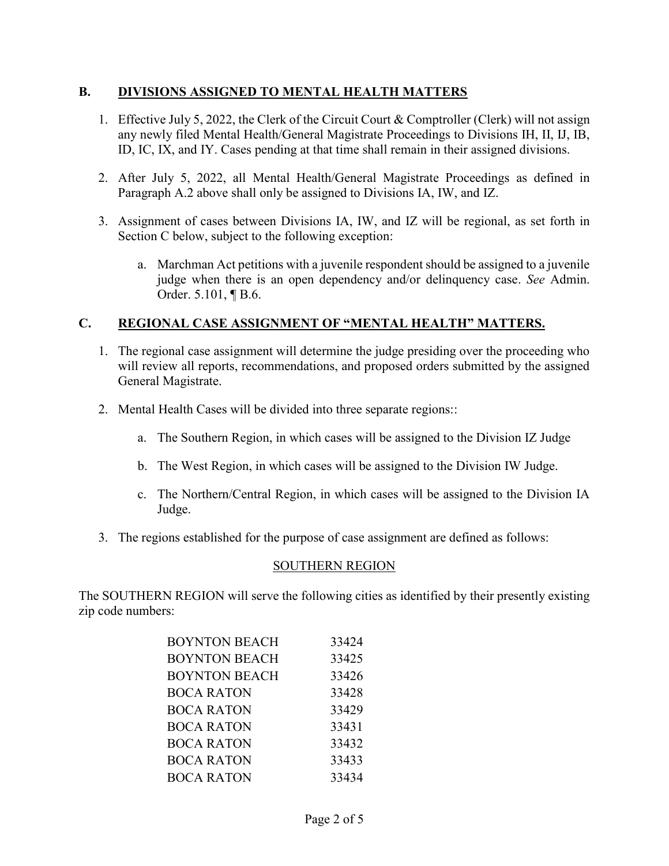#### **B. DIVISIONS ASSIGNED TO MENTAL HEALTH MATTERS**

- 1. Effective July 5, 2022, the Clerk of the Circuit Court & Comptroller (Clerk) will not assign any newly filed Mental Health/General Magistrate Proceedings to Divisions IH, II, IJ, IB, ID, IC, IX, and IY. Cases pending at that time shall remain in their assigned divisions.
- 2. After July 5, 2022, all Mental Health/General Magistrate Proceedings as defined in Paragraph A.2 above shall only be assigned to Divisions IA, IW, and IZ.
- 3. Assignment of cases between Divisions IA, IW, and IZ will be regional, as set forth in Section C below, subject to the following exception:
	- a. Marchman Act petitions with a juvenile respondent should be assigned to a juvenile judge when there is an open dependency and/or delinquency case. *See* Admin. Order. 5.101, ¶ B.6.

## **C. REGIONAL CASE ASSIGNMENT OF "MENTAL HEALTH" MATTERS.**

- 1. The regional case assignment will determine the judge presiding over the proceeding who will review all reports, recommendations, and proposed orders submitted by the assigned General Magistrate.
- 2. Mental Health Cases will be divided into three separate regions::
	- a. The Southern Region, in which cases will be assigned to the Division IZ Judge
	- b. The West Region, in which cases will be assigned to the Division IW Judge.
	- c. The Northern/Central Region, in which cases will be assigned to the Division IA Judge.
- 3. The regions established for the purpose of case assignment are defined as follows:

## SOUTHERN REGION

The SOUTHERN REGION will serve the following cities as identified by their presently existing zip code numbers:

| <b>BOYNTON BEACH</b> | 33424 |
|----------------------|-------|
| <b>BOYNTON BEACH</b> | 33425 |
| <b>BOYNTON BEACH</b> | 33426 |
| <b>BOCA RATON</b>    | 33428 |
| <b>BOCA RATON</b>    | 33429 |
| <b>BOCA RATON</b>    | 33431 |
| <b>BOCA RATON</b>    | 33432 |
| <b>BOCA RATON</b>    | 33433 |
| <b>BOCA RATON</b>    | 33434 |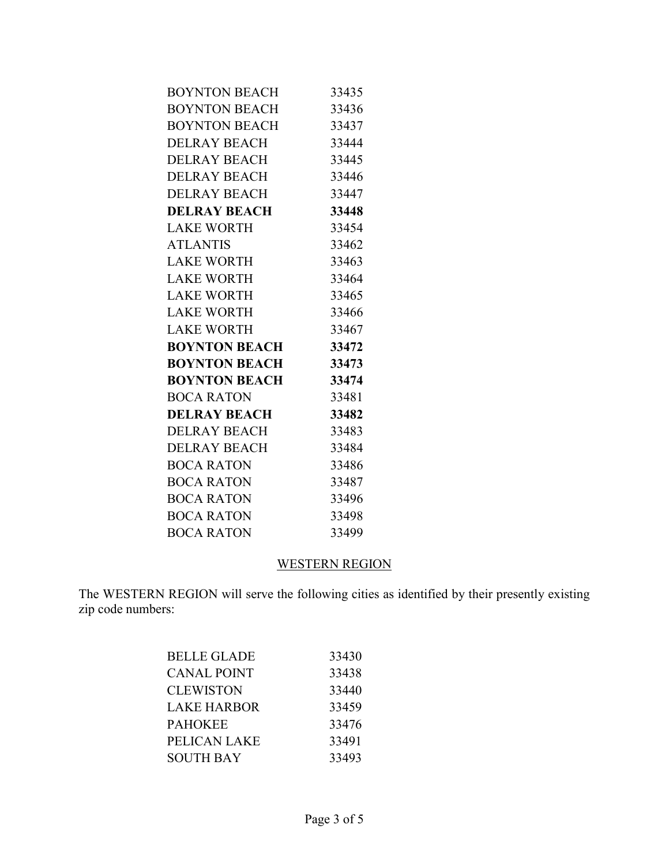| <b>BOYNTON BEACH</b> | 33435 |
|----------------------|-------|
| <b>BOYNTON BEACH</b> | 33436 |
| <b>BOYNTON BEACH</b> | 33437 |
| <b>DELRAY BEACH</b>  | 33444 |
| <b>DELRAY BEACH</b>  | 33445 |
| <b>DELRAY BEACH</b>  | 33446 |
| DELRAY BEACH         | 33447 |
| <b>DELRAY BEACH</b>  | 33448 |
| LAKE WORTH           | 33454 |
| <b>ATLANTIS</b>      | 33462 |
| LAKE WORTH           | 33463 |
| LAKE WORTH           | 33464 |
| <b>LAKE WORTH</b>    | 33465 |
| <b>LAKE WORTH</b>    | 33466 |
| LAKE WORTH           | 33467 |
| <b>BOYNTON BEACH</b> | 33472 |
| <b>BOYNTON BEACH</b> | 33473 |
| <b>BOYNTON BEACH</b> | 33474 |
| <b>BOCA RATON</b>    | 33481 |
| <b>DELRAY BEACH</b>  | 33482 |
| DELRAY BEACH         | 33483 |
| DELRAY BEACH         | 33484 |
| <b>BOCA RATON</b>    | 33486 |
| BOCA RATON           | 33487 |
| <b>BOCA RATON</b>    | 33496 |
| <b>BOCA RATON</b>    | 33498 |
| <b>BOCA RATON</b>    | 33499 |

# WESTERN REGION

The WESTERN REGION will serve the following cities as identified by their presently existing zip code numbers:

| BELLE GLADE      | 33430 |
|------------------|-------|
| CANAL POINT      | 33438 |
| <b>CLEWISTON</b> | 33440 |
| LAKE HARBOR      | 33459 |
| PAHOKEE          | 33476 |
| PELICAN LAKE     | 33491 |
| <b>SOUTH BAY</b> | 33493 |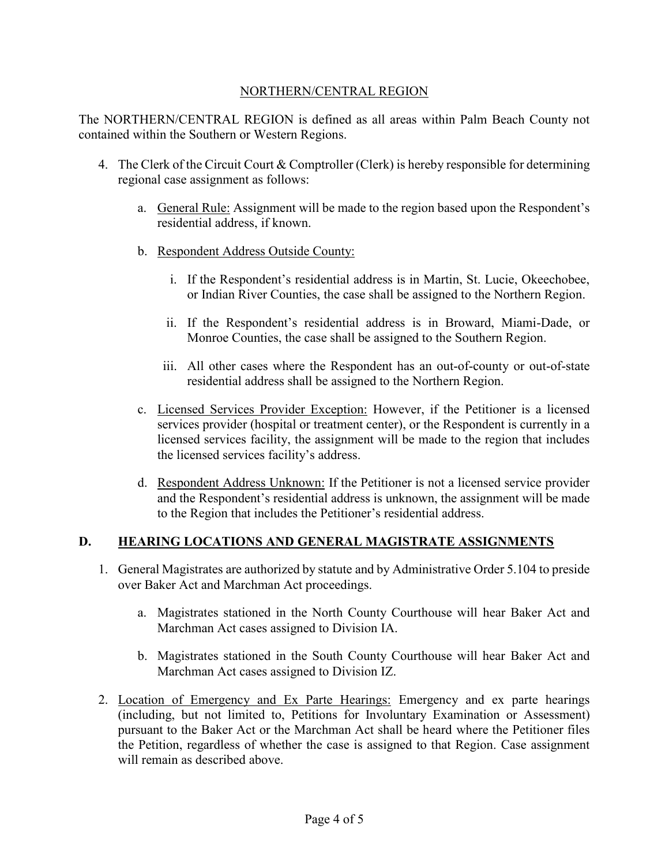#### NORTHERN/CENTRAL REGION

The NORTHERN/CENTRAL REGION is defined as all areas within Palm Beach County not contained within the Southern or Western Regions.

- 4. The Clerk of the Circuit Court & Comptroller (Clerk) is hereby responsible for determining regional case assignment as follows:
	- a. General Rule: Assignment will be made to the region based upon the Respondent's residential address, if known.
	- b. Respondent Address Outside County:
		- i. If the Respondent's residential address is in Martin, St. Lucie, Okeechobee, or Indian River Counties, the case shall be assigned to the Northern Region.
		- ii. If the Respondent's residential address is in Broward, Miami-Dade, or Monroe Counties, the case shall be assigned to the Southern Region.
		- iii. All other cases where the Respondent has an out-of-county or out-of-state residential address shall be assigned to the Northern Region.
	- c. Licensed Services Provider Exception: However, if the Petitioner is a licensed services provider (hospital or treatment center), or the Respondent is currently in a licensed services facility, the assignment will be made to the region that includes the licensed services facility's address.
	- d. Respondent Address Unknown: If the Petitioner is not a licensed service provider and the Respondent's residential address is unknown, the assignment will be made to the Region that includes the Petitioner's residential address.

#### **D. HEARING LOCATIONS AND GENERAL MAGISTRATE ASSIGNMENTS**

- 1. General Magistrates are authorized by statute and by Administrative Order 5.104 to preside over Baker Act and Marchman Act proceedings.
	- a. Magistrates stationed in the North County Courthouse will hear Baker Act and Marchman Act cases assigned to Division IA.
	- b. Magistrates stationed in the South County Courthouse will hear Baker Act and Marchman Act cases assigned to Division IZ.
- 2. Location of Emergency and Ex Parte Hearings: Emergency and ex parte hearings (including, but not limited to, Petitions for Involuntary Examination or Assessment) pursuant to the Baker Act or the Marchman Act shall be heard where the Petitioner files the Petition, regardless of whether the case is assigned to that Region. Case assignment will remain as described above.